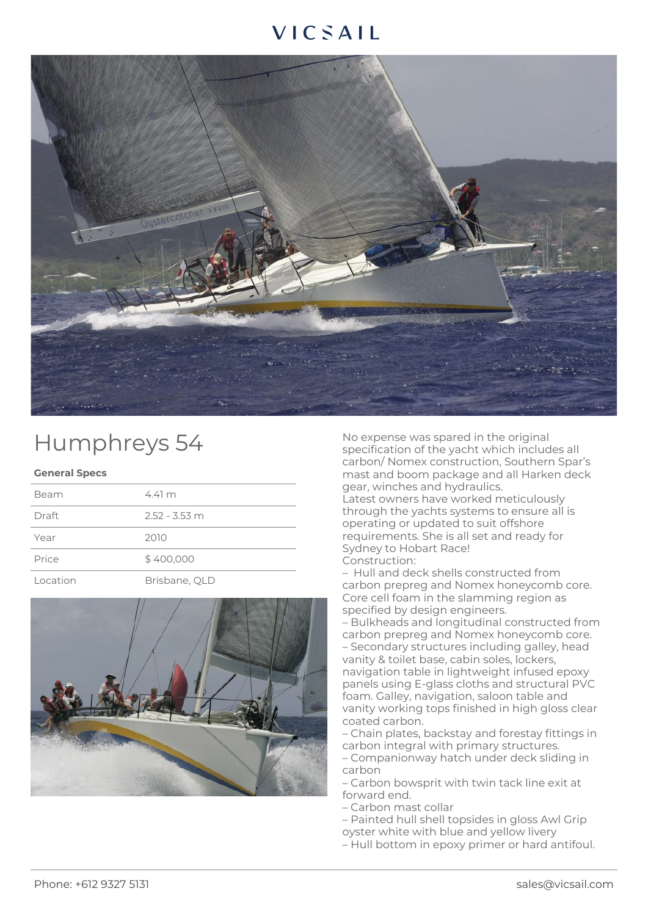## VICSAIL



## Humphreys 54

## **General Specs**

| Beam     | $4.41 \text{ m}$ |
|----------|------------------|
| Draft    | $2.52 - 3.53$ m  |
| Year     | 2010             |
| Price    | \$400,000        |
| Location | Brisbane, QLD    |



No expense was spared in the original specification of the yacht which includes all carbon/ Nomex construction, Southern Spar's mast and boom package and all Harken deck gear, winches and hydraulics.

Latest owners have worked meticulously through the yachts systems to ensure all is operating or updated to suit offshore requirements. She is all set and ready for Sydney to Hobart Race! Construction:

– Hull and deck shells constructed from carbon prepreg and Nomex honeycomb core. Core cell foam in the slamming region as specified by design engineers.

– Bulkheads and longitudinal constructed from carbon prepreg and Nomex honeycomb core. – Secondary structures including galley, head vanity & toilet base, cabin soles, lockers, navigation table in lightweight infused epoxy panels using E-glass cloths and structural PVC foam. Galley, navigation, saloon table and vanity working tops finished in high gloss clear coated carbon.

– Chain plates, backstay and forestay fittings in carbon integral with primary structures.

– Companionway hatch under deck sliding in carbon

– Carbon bowsprit with twin tack line exit at forward end.

– Carbon mast collar

– Painted hull shell topsides in gloss Awl Grip

oyster white with blue and yellow livery

– Hull bottom in epoxy primer or hard antifoul.